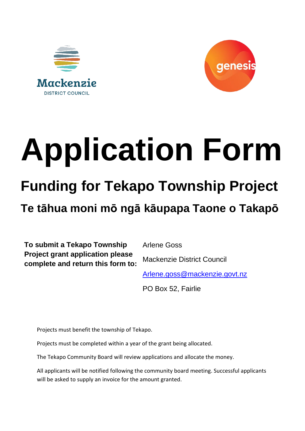



# **Application Form**

## **Funding for Tekapo Township Project**

## **Te tāhua moni mō ngā kāupapa Taone o Takapō**

**To submit a Tekapo Township Project grant application please complete and return this form to:** Arlene Goss

Mackenzie District Council

[Arlene.goss@mackenzie.govt.nz](mailto:Arlene.goss@mackenzie.govt.nz)

PO Box 52, Fairlie

Projects must benefit the township of Tekapo.

Projects must be completed within a year of the grant being allocated.

The Tekapo Community Board will review applications and allocate the money.

All applicants will be notified following the community board meeting. Successful applicants will be asked to supply an invoice for the amount granted.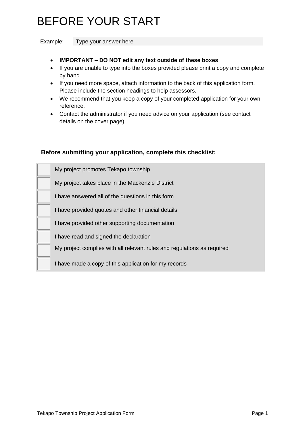## BEFORE YOUR START

Example: | Type your answer here

#### • **IMPORTANT – DO NOT edit any text outside of these boxes**

- If you are unable to type into the boxes provided please print a copy and complete by hand
- If you need more space, attach information to the back of this application form. Please include the section headings to help assessors.
- We recommend that you keep a copy of your completed application for your own reference.
- Contact the administrator if you need advice on your application (see contact details on the cover page).

### **Before submitting your application, complete this checklist:**

| My project promotes Tekapo township                                     |
|-------------------------------------------------------------------------|
| My project takes place in the Mackenzie District                        |
| I have answered all of the questions in this form                       |
| I have provided quotes and other financial details                      |
| I have provided other supporting documentation                          |
| I have read and signed the declaration                                  |
| My project complies with all relevant rules and regulations as required |
| I have made a copy of this application for my records                   |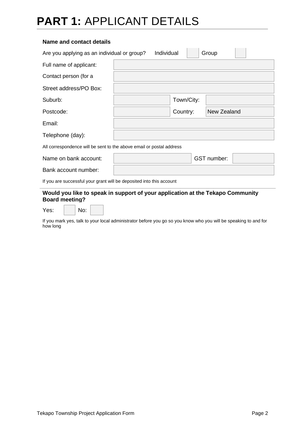## **PART 1:** APPLICANT DETAILS

#### **Name and contact details**

| Are you applying as an individual or group?                          | Individual |            | Group              |  |
|----------------------------------------------------------------------|------------|------------|--------------------|--|
| Full name of applicant:                                              |            |            |                    |  |
| Contact person (for a                                                |            |            |                    |  |
| Street address/PO Box:                                               |            |            |                    |  |
| Suburb:                                                              |            | Town/City: |                    |  |
| Postcode:                                                            |            | Country:   | New Zealand        |  |
| Email:                                                               |            |            |                    |  |
| Telephone (day):                                                     |            |            |                    |  |
| All correspondence will be sent to the above email or postal address |            |            |                    |  |
| Name on bank account:                                                |            |            | <b>GST</b> number: |  |
| Bank account number:                                                 |            |            |                    |  |

If you are successful your grant will be deposited into this account

#### **Would you like to speak in support of your application at the Tekapo Community Board meeting?**

Yes: | | No:

If you mark yes, talk to your local administrator before you go so you know who you will be speaking to and for how long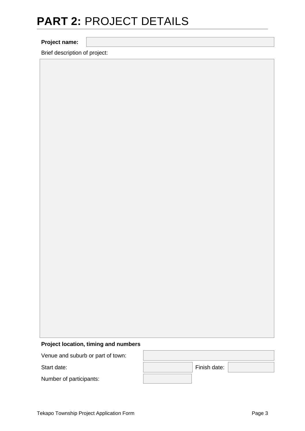## **PART 2: PROJECT DETAILS**

### **Project name:**

Brief description of project:

## **Project location, timing and numbers**

 $\Box$ 

Venue and suburb or part of town:

Start date:

| Finish date: |  |
|--------------|--|
|              |  |

Number of participants: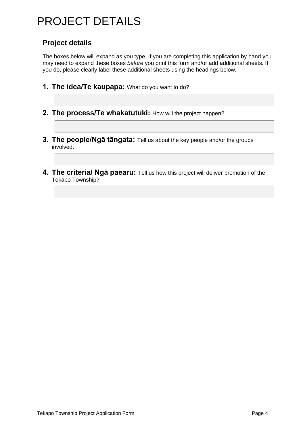## **Project details**

The boxes below will expand as you type. If you are completing this application by hand you may need to expand these boxes *before* you print this form and/or add additional sheets. If you do, please clearly label these additional sheets using the headings below.

- **1. The idea/Te kaupapa:** What do you want to do?
- **2. The process/Te whakatutuki:** How will the project happen?
- **3. The people/Ngā tāngata:** Tell us about the key people and/or the groups involved.
- **4. The criteria/ Ngā paearu:** Tell us how this project will deliver promotion of the Tekapo Township?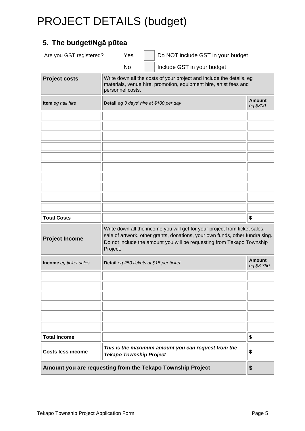## **5. The budget/Ngā pūtea**

| Are you GST registered?  | Yes<br>Do NOT include GST in your budget                                                                                                                                                                                                        |                             |
|--------------------------|-------------------------------------------------------------------------------------------------------------------------------------------------------------------------------------------------------------------------------------------------|-----------------------------|
|                          | <b>No</b><br>Include GST in your budget                                                                                                                                                                                                         |                             |
| <b>Project costs</b>     | Write down all the costs of your project and include the details, eg<br>materials, venue hire, promotion, equipment hire, artist fees and<br>personnel costs.                                                                                   |                             |
| Item eg hall hire        | Detail eg 3 days' hire at \$100 per day                                                                                                                                                                                                         | <b>Amount</b><br>eg \$300   |
|                          |                                                                                                                                                                                                                                                 |                             |
|                          |                                                                                                                                                                                                                                                 |                             |
|                          |                                                                                                                                                                                                                                                 |                             |
|                          |                                                                                                                                                                                                                                                 |                             |
|                          |                                                                                                                                                                                                                                                 |                             |
|                          |                                                                                                                                                                                                                                                 |                             |
|                          |                                                                                                                                                                                                                                                 |                             |
|                          |                                                                                                                                                                                                                                                 |                             |
|                          |                                                                                                                                                                                                                                                 |                             |
|                          |                                                                                                                                                                                                                                                 |                             |
| <b>Total Costs</b>       |                                                                                                                                                                                                                                                 | \$                          |
| <b>Project Income</b>    | Write down all the income you will get for your project from ticket sales,<br>sale of artwork, other grants, donations, your own funds, other fundraising.<br>Do not include the amount you will be requesting from Tekapo Township<br>Project. |                             |
| Income eg ticket sales   | Detail eg 250 tickets at \$15 per ticket                                                                                                                                                                                                        | <b>Amount</b><br>eg \$3,750 |
|                          |                                                                                                                                                                                                                                                 |                             |
|                          |                                                                                                                                                                                                                                                 |                             |
|                          |                                                                                                                                                                                                                                                 |                             |
|                          |                                                                                                                                                                                                                                                 |                             |
|                          |                                                                                                                                                                                                                                                 |                             |
| <b>Total Income</b>      |                                                                                                                                                                                                                                                 | \$                          |
| <b>Costs less income</b> | This is the maximum amount you can request from the<br><b>Tekapo Township Project</b>                                                                                                                                                           | \$                          |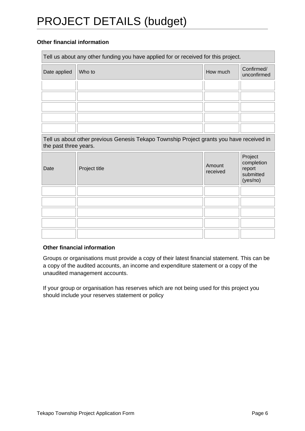## PROJECT DETAILS (budget)

#### **Other financial information**

| Tell us about any other funding you have applied for or received for this project.                                |               |                    |                                                          |  |  |
|-------------------------------------------------------------------------------------------------------------------|---------------|--------------------|----------------------------------------------------------|--|--|
| Date applied                                                                                                      | Who to        | How much           | Confirmed/<br>unconfirmed                                |  |  |
|                                                                                                                   |               |                    |                                                          |  |  |
|                                                                                                                   |               |                    |                                                          |  |  |
|                                                                                                                   |               |                    |                                                          |  |  |
|                                                                                                                   |               |                    |                                                          |  |  |
|                                                                                                                   |               |                    |                                                          |  |  |
| Tell us about other previous Genesis Tekapo Township Project grants you have received in<br>the past three years. |               |                    |                                                          |  |  |
| Date                                                                                                              | Project title | Amount<br>received | Project<br>completion<br>report<br>submitted<br>(yes/no) |  |  |
|                                                                                                                   |               |                    |                                                          |  |  |
|                                                                                                                   |               |                    |                                                          |  |  |
|                                                                                                                   |               |                    |                                                          |  |  |
|                                                                                                                   |               |                    |                                                          |  |  |
|                                                                                                                   |               |                    |                                                          |  |  |

#### **Other financial information**

Groups or organisations must provide a copy of their latest financial statement. This can be a copy of the audited accounts, an income and expenditure statement or a copy of the unaudited management accounts.

If your group or organisation has reserves which are not being used for this project you should include your reserves statement or policy